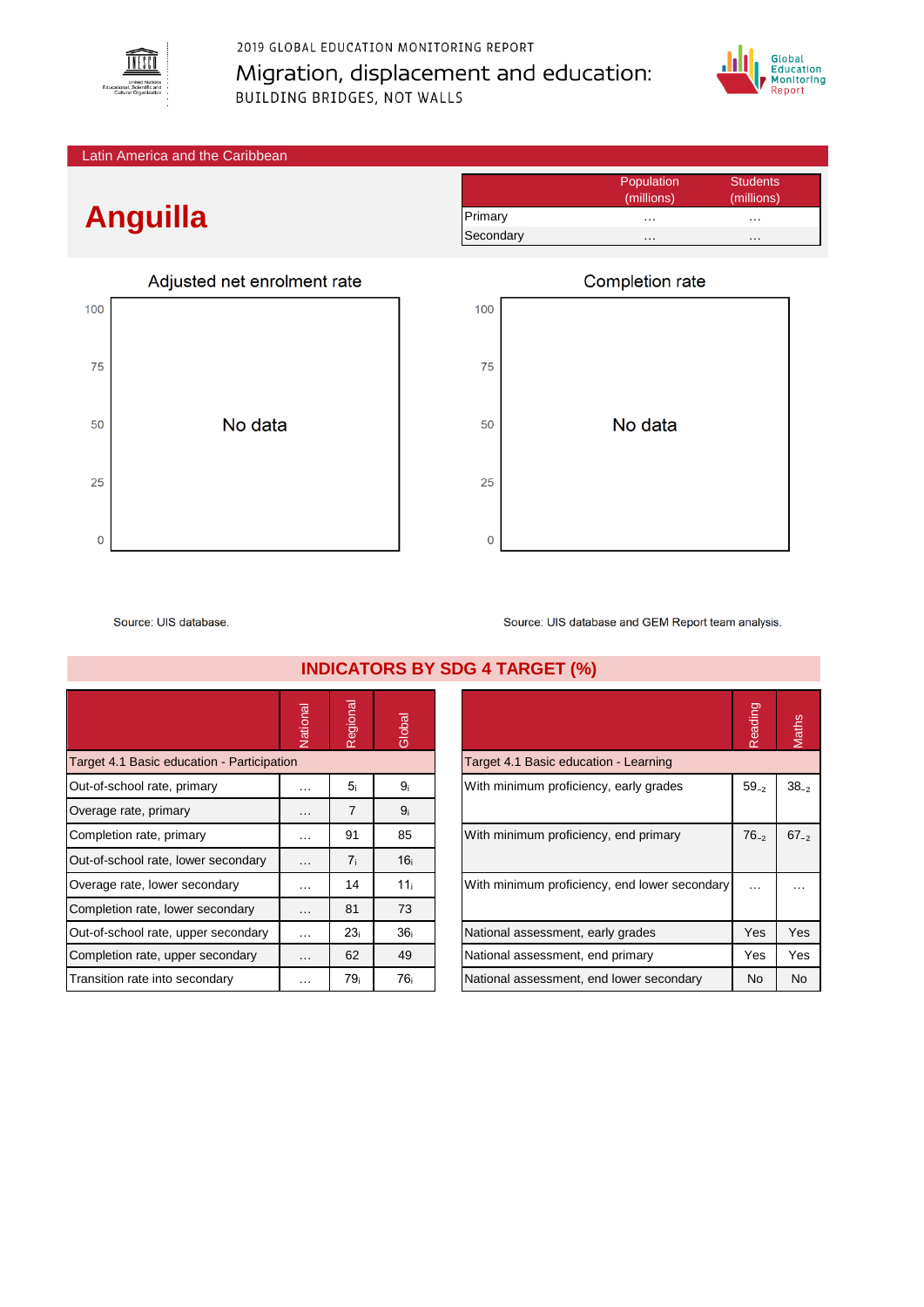

2019 GLOBAL EDUCATION MONITORING REPORT Migration, displacement and education: **BUILDING BRIDGES, NOT WALLS** 



Latin America and the Caribbean

## **Anguilla**

|     | Adjusted net enrolment rate |  |  |  |  |  |  |  |  |  |
|-----|-----------------------------|--|--|--|--|--|--|--|--|--|
| 100 |                             |  |  |  |  |  |  |  |  |  |
| 75  |                             |  |  |  |  |  |  |  |  |  |
| 50  | No data                     |  |  |  |  |  |  |  |  |  |
|     |                             |  |  |  |  |  |  |  |  |  |
| 25  |                             |  |  |  |  |  |  |  |  |  |
| 0   |                             |  |  |  |  |  |  |  |  |  |

|           | Population | <b>Students</b> |
|-----------|------------|-----------------|
|           | (millions) | (millions)      |
| Primary   | .          | .               |
| Secondary | .          | .               |



Source: UIS database

National<br>Regional<br>Global Target 4.1 Basic education - Participation Out-of-school rate, primary … 5ᵢ 9ᵢ With minimum proficiency, early grades 59₋₂ 38₋₂ Overage rate, primary  $\begin{array}{ccc} \sim & 7 & 9_i \end{array}$ Completion rate, primary **Ninimum profits minimum profits and primary 76** B5 Out-of-school rate, lower secondary  $\begin{bmatrix} 1 & \cdots & 1 \\ 1 & \cdots & 1 \\ 0 & \cdots & 1 \end{bmatrix}$  16 Overage rate, lower secondary  $\begin{bmatrix} \dots \\ \dots \end{bmatrix}$  14  $\begin{bmatrix} 11_i \\ 11_i \end{bmatrix}$ Completion rate, lower secondary | ... | 81 | 73 Out-of-school rate, upper secondary  $\begin{bmatrix} 1 & \cdots & 23_i \end{bmatrix}$  36 Completion rate, upper secondary | ... | 62 | 49 Transition rate into secondary  $\begin{array}{ccc} \n\end{array}$   $\begin{array}{ccc} \n\end{array}$   $\begin{array}{ccc} \n\end{array}$  76

Source: UIS database and GEM Report team analysis.

|                                               | Reading   | laths     |
|-----------------------------------------------|-----------|-----------|
| Target 4.1 Basic education - Learning         |           |           |
| With minimum proficiency, early grades        | $59_{-2}$ | $38_{-2}$ |
| With minimum proficiency, end primary         | $76_{-2}$ | $67_{-2}$ |
| With minimum proficiency, end lower secondary |           |           |
| National assessment, early grades             | Yes       | Yes       |
| National assessment, end primary              | Yes       | Yes       |
| National assessment, end lower secondary      | No        | No        |

## **INDICATORS BY SDG 4 TARGET (%)**